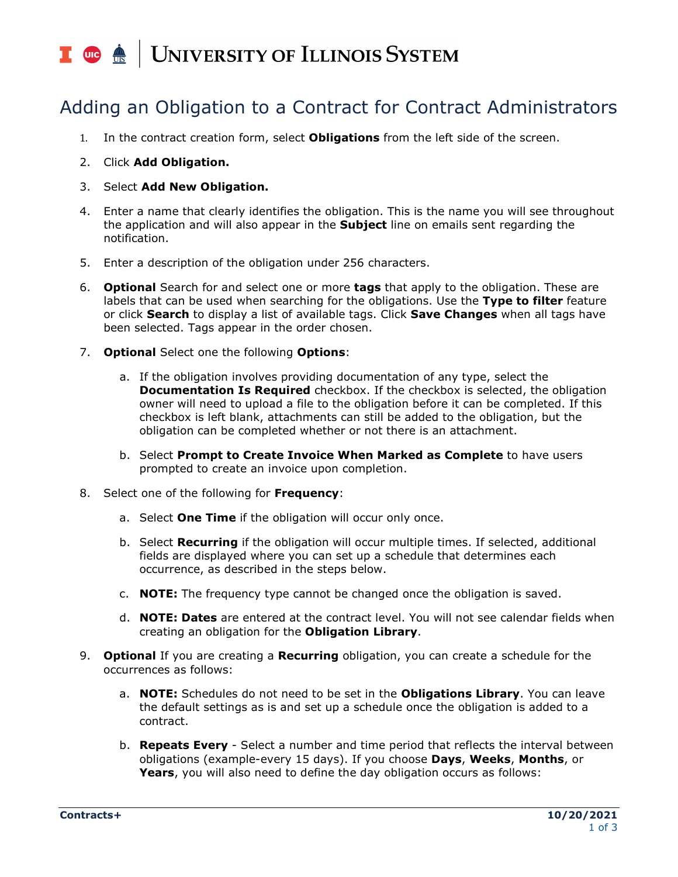## I **C**  $\triangle$  UNIVERSITY OF ILLINOIS SYSTEM

## Adding an Obligation to a Contract for Contract Administrators

- 1. In the contract creation form, select **Obligations** from the left side of the screen.
- 2. Click **Add Obligation.**
- 3. Select **Add New Obligation.**
- 4. Enter a name that clearly identifies the obligation. This is the name you will see throughout the application and will also appear in the **Subject** line on emails sent regarding the notification.
- 5. Enter a description of the obligation under 256 characters.
- 6. **Optional** Search for and select one or more **tags** that apply to the obligation. These are labels that can be used when searching for the obligations. Use the **Type to filter** feature or click **Search** to display a list of available tags. Click **Save Changes** when all tags have been selected. Tags appear in the order chosen.
- 7. **Optional** Select one the following **Options**:
	- a. If the obligation involves providing documentation of any type, select the **Documentation Is Required** checkbox. If the checkbox is selected, the obligation owner will need to upload a file to the obligation before it can be completed. If this checkbox is left blank, attachments can still be added to the obligation, but the obligation can be completed whether or not there is an attachment.
	- b. Select **Prompt to Create Invoice When Marked as Complete** to have users prompted to create an invoice upon completion.
- 8. Select one of the following for **Frequency**:
	- a. Select **One Time** if the obligation will occur only once.
	- b. Select **Recurring** if the obligation will occur multiple times. If selected, additional fields are displayed where you can set up a schedule that determines each occurrence, as described in the steps below.
	- c. **NOTE:** The frequency type cannot be changed once the obligation is saved.
	- d. **NOTE: Dates** are entered at the contract level. You will not see calendar fields when creating an obligation for the **Obligation Library**.
- 9. **Optional** If you are creating a **Recurring** obligation, you can create a schedule for the occurrences as follows:
	- a. **NOTE:** Schedules do not need to be set in the **Obligations Library**. You can leave the default settings as is and set up a schedule once the obligation is added to a contract.
	- b. **Repeats Every** Select a number and time period that reflects the interval between obligations (example-every 15 days). If you choose **Days**, **Weeks**, **Months**, or **Years**, you will also need to define the day obligation occurs as follows: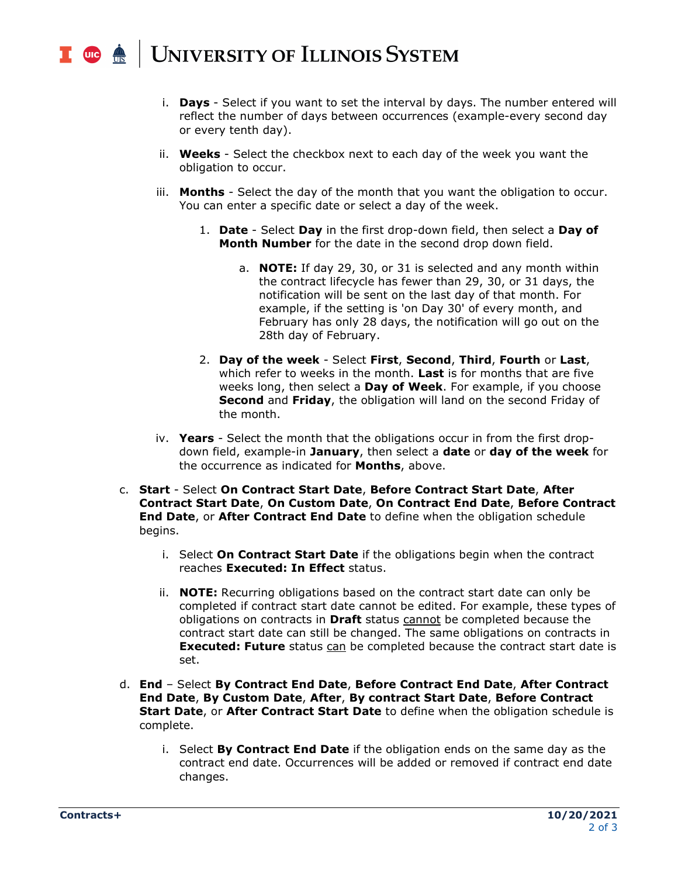## **UNIVERSITY OF ILLINOIS SYSTEM**  $\frac{1}{\sqrt{10}}$  one  $\frac{1}{\sqrt{10}}$

- i. **Days** Select if you want to set the interval by days. The number entered will reflect the number of days between occurrences (example-every second day or every tenth day).
- ii. **Weeks** Select the checkbox next to each day of the week you want the obligation to occur.
- iii. **Months** Select the day of the month that you want the obligation to occur. You can enter a specific date or select a day of the week.
	- 1. **Date** Select **Day** in the first drop-down field, then select a **Day of Month Number** for the date in the second drop down field.
		- a. **NOTE:** If day 29, 30, or 31 is selected and any month within the contract lifecycle has fewer than 29, 30, or 31 days, the notification will be sent on the last day of that month. For example, if the setting is 'on Day 30' of every month, and February has only 28 days, the notification will go out on the 28th day of February.
	- 2. **Day of the week** Select **First**, **Second**, **Third**, **Fourth** or **Last**, which refer to weeks in the month. **Last** is for months that are five weeks long, then select a **Day of Week**. For example, if you choose **Second** and **Friday**, the obligation will land on the second Friday of the month.
- iv. **Years** Select the month that the obligations occur in from the first dropdown field, example-in **January**, then select a **date** or **day of the week** for the occurrence as indicated for **Months**, above.
- c. **Start** Select **On Contract Start Date**, **Before Contract Start Date**, **After Contract Start Date**, **On Custom Date**, **On Contract End Date**, **Before Contract End Date**, or **After Contract End Date** to define when the obligation schedule begins.
	- i. Select **On Contract Start Date** if the obligations begin when the contract reaches **Executed: In Effect** status.
	- ii. **NOTE:** Recurring obligations based on the contract start date can only be completed if contract start date cannot be edited. For example, these types of obligations on contracts in **Draft** status cannot be completed because the contract start date can still be changed. The same obligations on contracts in **Executed: Future** status can be completed because the contract start date is set.
- d. **End**  Select **By Contract End Date**, **Before Contract End Date**, **After Contract End Date**, **By Custom Date**, **After**, **By contract Start Date**, **Before Contract Start Date**, or **After Contract Start Date** to define when the obligation schedule is complete.
	- i. Select **By Contract End Date** if the obligation ends on the same day as the contract end date. Occurrences will be added or removed if contract end date changes.